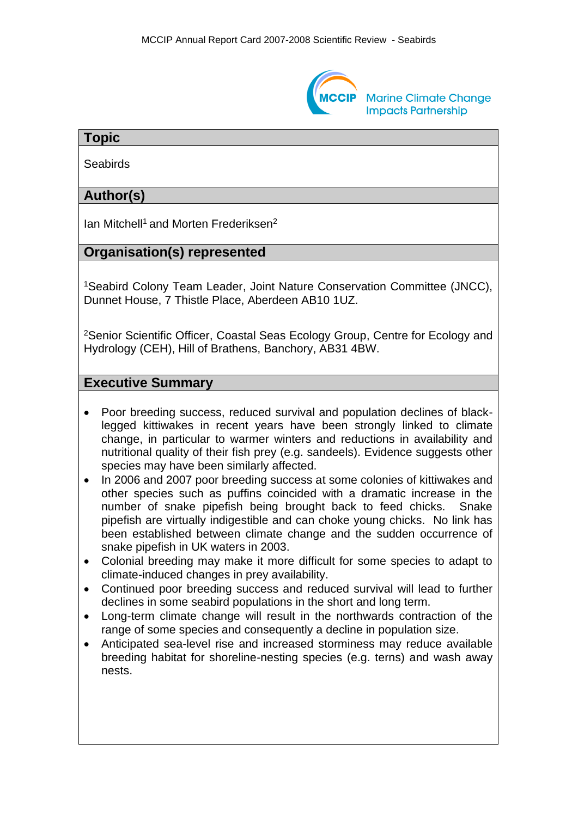

## **Topic**

**Seabirds** 

# **Author(s)**

Ian Mitchell<sup>1</sup> and Morten Frederiksen<sup>2</sup>

## **Organisation(s) represented**

<sup>1</sup>Seabird Colony Team Leader, Joint Nature Conservation Committee (JNCC), Dunnet House, 7 Thistle Place, Aberdeen AB10 1UZ.

<sup>2</sup>Senior Scientific Officer, Coastal Seas Ecology Group, Centre for Ecology and Hydrology (CEH), Hill of Brathens, Banchory, AB31 4BW.

#### **Executive Summary**

- Poor breeding success, reduced survival and population declines of blacklegged kittiwakes in recent years have been strongly linked to climate change, in particular to warmer winters and reductions in availability and nutritional quality of their fish prey (e.g. sandeels). Evidence suggests other species may have been similarly affected.
- In 2006 and 2007 poor breeding success at some colonies of kittiwakes and other species such as puffins coincided with a dramatic increase in the number of snake pipefish being brought back to feed chicks. Snake pipefish are virtually indigestible and can choke young chicks. No link has been established between climate change and the sudden occurrence of snake pipefish in UK waters in 2003.
- Colonial breeding may make it more difficult for some species to adapt to climate-induced changes in prey availability.
- Continued poor breeding success and reduced survival will lead to further declines in some seabird populations in the short and long term.
- Long-term climate change will result in the northwards contraction of the range of some species and consequently a decline in population size.
- Anticipated sea-level rise and increased storminess may reduce available breeding habitat for shoreline-nesting species (e.g. terns) and wash away nests.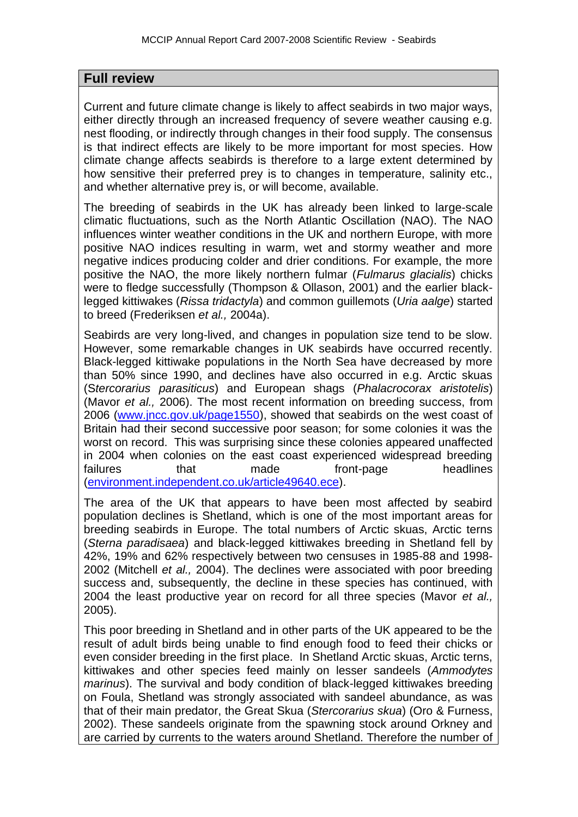#### **Full review**

Current and future climate change is likely to affect seabirds in two major ways, either directly through an increased frequency of severe weather causing e.g. nest flooding, or indirectly through changes in their food supply. The consensus is that indirect effects are likely to be more important for most species. How climate change affects seabirds is therefore to a large extent determined by how sensitive their preferred prey is to changes in temperature, salinity etc., and whether alternative prey is, or will become, available.

The breeding of seabirds in the UK has already been linked to large-scale climatic fluctuations, such as the North Atlantic Oscillation (NAO). The NAO influences winter weather conditions in the UK and northern Europe, with more positive NAO indices resulting in warm, wet and stormy weather and more negative indices producing colder and drier conditions. For example, the more positive the NAO, the more likely northern fulmar (*Fulmarus glacialis*) chicks were to fledge successfully (Thompson & Ollason, 2001) and the earlier blacklegged kittiwakes (*Rissa tridactyla*) and common guillemots (*Uria aalge*) started to breed (Frederiksen *et al.,* 2004a).

Seabirds are very long-lived, and changes in population size tend to be slow. However, some remarkable changes in UK seabirds have occurred recently. Black-legged kittiwake populations in the North Sea have decreased by more than 50% since 1990, and declines have also occurred in e.g. Arctic skuas (S*tercorarius parasiticus*) and European shags (*Phalacrocorax aristotelis*) (Mavor *et al.,* 2006). The most recent information on breeding success, from 2006 [\(www.jncc.gov.uk/page1550\)](http://www.jncc.gov.uk/page1550), showed that seabirds on the west coast of Britain had their second successive poor season; for some colonies it was the worst on record. This was surprising since these colonies appeared unaffected in 2004 when colonies on the east coast experienced widespread breeding failures that made front-page headlines [\(environment.independent.co.uk/article49640.ece\)](file:///C:/Documents%20and%20Settings/Ian%20Mitchell/Local%20Settings/Temp/environment.independent.co.uk/article49640.ece).

The area of the UK that appears to have been most affected by seabird population declines is Shetland, which is one of the most important areas for breeding seabirds in Europe. The total numbers of Arctic skuas, Arctic terns (*Sterna paradisaea*) and black-legged kittiwakes breeding in Shetland fell by 42%, 19% and 62% respectively between two censuses in 1985-88 and 1998- 2002 (Mitchell *et al.,* 2004). The declines were associated with poor breeding success and, subsequently, the decline in these species has continued, with 2004 the least productive year on record for all three species (Mavor *et al.,*  2005).

This poor breeding in Shetland and in other parts of the UK appeared to be the result of adult birds being unable to find enough food to feed their chicks or even consider breeding in the first place. In Shetland Arctic skuas, Arctic terns, kittiwakes and other species feed mainly on lesser sandeels (*Ammodytes marinus*). The survival and body condition of black-legged kittiwakes breeding on Foula, Shetland was strongly associated with sandeel abundance, as was that of their main predator, the Great Skua (*Stercorarius skua*) (Oro & Furness, 2002). These sandeels originate from the spawning stock around Orkney and are carried by currents to the waters around Shetland. Therefore the number of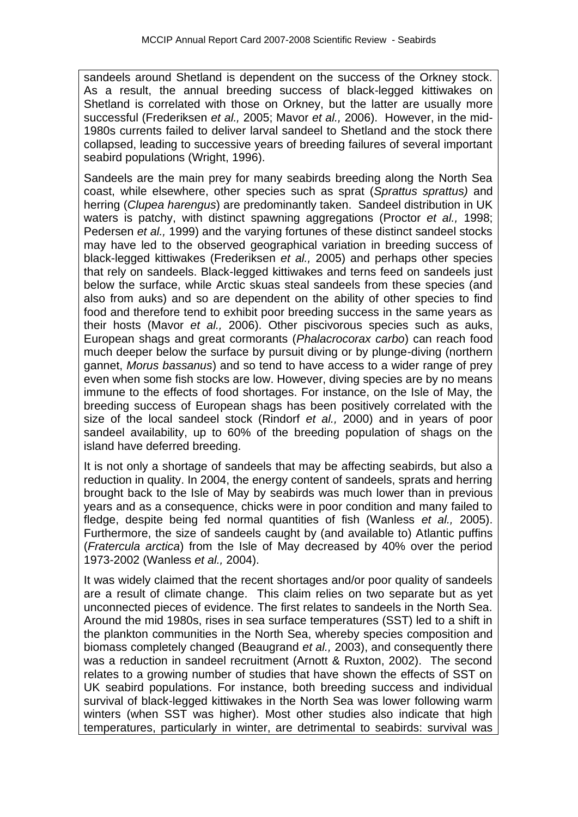sandeels around Shetland is dependent on the success of the Orkney stock. As a result, the annual breeding success of black-legged kittiwakes on Shetland is correlated with those on Orkney, but the latter are usually more successful (Frederiksen *et al.,* 2005; Mavor *et al.,* 2006). However, in the mid-1980s currents failed to deliver larval sandeel to Shetland and the stock there collapsed, leading to successive years of breeding failures of several important seabird populations (Wright, 1996).

Sandeels are the main prey for many seabirds breeding along the North Sea coast, while elsewhere, other species such as sprat (*Sprattus sprattus)* and herring (*Clupea harengus*) are predominantly taken. Sandeel distribution in UK waters is patchy, with distinct spawning aggregations (Proctor *et al.,* 1998; Pedersen *et al.,* 1999) and the varying fortunes of these distinct sandeel stocks may have led to the observed geographical variation in breeding success of black-legged kittiwakes (Frederiksen *et al.,* 2005) and perhaps other species that rely on sandeels. Black-legged kittiwakes and terns feed on sandeels just below the surface, while Arctic skuas steal sandeels from these species (and also from auks) and so are dependent on the ability of other species to find food and therefore tend to exhibit poor breeding success in the same years as their hosts (Mavor *et al.,* 2006). Other piscivorous species such as auks, European shags and great cormorants (*Phalacrocorax carbo*) can reach food much deeper below the surface by pursuit diving or by plunge-diving (northern gannet, *Morus bassanus*) and so tend to have access to a wider range of prey even when some fish stocks are low. However, diving species are by no means immune to the effects of food shortages. For instance, on the Isle of May, the breeding success of European shags has been positively correlated with the size of the local sandeel stock (Rindorf *et al.,* 2000) and in years of poor sandeel availability, up to 60% of the breeding population of shags on the island have deferred breeding.

It is not only a shortage of sandeels that may be affecting seabirds, but also a reduction in quality. In 2004, the energy content of sandeels, sprats and herring brought back to the Isle of May by seabirds was much lower than in previous years and as a consequence, chicks were in poor condition and many failed to fledge, despite being fed normal quantities of fish (Wanless *et al.,* 2005). Furthermore, the size of sandeels caught by (and available to) Atlantic puffins (*Fratercula arctica*) from the Isle of May decreased by 40% over the period 1973-2002 (Wanless *et al.,* 2004).

It was widely claimed that the recent shortages and/or poor quality of sandeels are a result of climate change. This claim relies on two separate but as yet unconnected pieces of evidence. The first relates to sandeels in the North Sea. Around the mid 1980s, rises in sea surface temperatures (SST) led to a shift in the plankton communities in the North Sea, whereby species composition and biomass completely changed (Beaugrand *et al.,* 2003), and consequently there was a reduction in sandeel recruitment (Arnott & Ruxton, 2002). The second relates to a growing number of studies that have shown the effects of SST on UK seabird populations. For instance, both breeding success and individual survival of black-legged kittiwakes in the North Sea was lower following warm winters (when SST was higher). Most other studies also indicate that high temperatures, particularly in winter, are detrimental to seabirds: survival was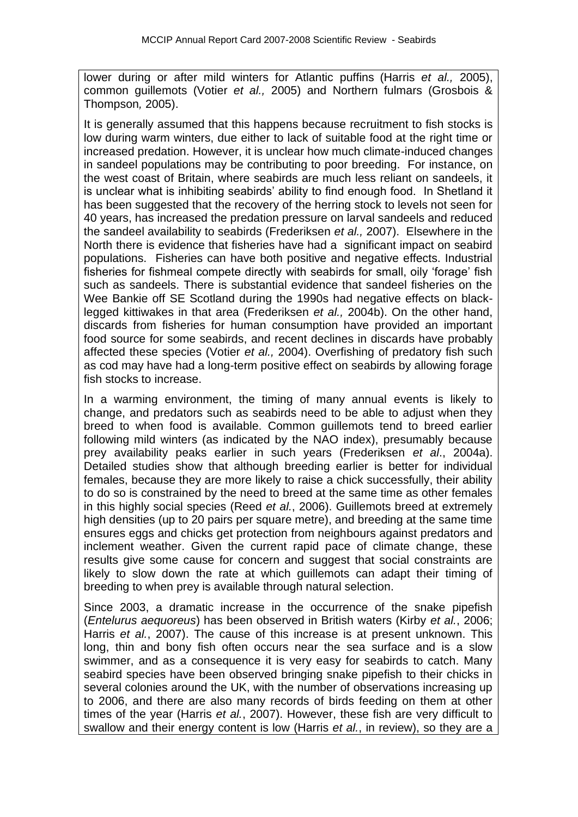lower during or after mild winters for Atlantic puffins (Harris *et al.,* 2005), common guillemots (Votier *et al.,* 2005) and Northern fulmars (Grosbois & Thompson*,* 2005).

It is generally assumed that this happens because recruitment to fish stocks is low during warm winters, due either to lack of suitable food at the right time or increased predation. However, it is unclear how much climate-induced changes in sandeel populations may be contributing to poor breeding. For instance, on the west coast of Britain, where seabirds are much less reliant on sandeels, it is unclear what is inhibiting seabirds' ability to find enough food. In Shetland it has been suggested that the recovery of the herring stock to levels not seen for 40 years, has increased the predation pressure on larval sandeels and reduced the sandeel availability to seabirds (Frederiksen *et al.,* 2007). Elsewhere in the North there is evidence that fisheries have had a significant impact on seabird populations. Fisheries can have both positive and negative effects. Industrial fisheries for fishmeal compete directly with seabirds for small, oily 'forage' fish such as sandeels. There is substantial evidence that sandeel fisheries on the Wee Bankie off SE Scotland during the 1990s had negative effects on blacklegged kittiwakes in that area (Frederiksen *et al.,* 2004b). On the other hand, discards from fisheries for human consumption have provided an important food source for some seabirds, and recent declines in discards have probably affected these species (Votier *et al.,* 2004). Overfishing of predatory fish such as cod may have had a long-term positive effect on seabirds by allowing forage fish stocks to increase.

In a warming environment, the timing of many annual events is likely to change, and predators such as seabirds need to be able to adjust when they breed to when food is available. Common guillemots tend to breed earlier following mild winters (as indicated by the NAO index), presumably because prey availability peaks earlier in such years (Frederiksen *et al*., 2004a). Detailed studies show that although breeding earlier is better for individual females, because they are more likely to raise a chick successfully, their ability to do so is constrained by the need to breed at the same time as other females in this highly social species (Reed *et al.*, 2006). Guillemots breed at extremely high densities (up to 20 pairs per square metre), and breeding at the same time ensures eggs and chicks get protection from neighbours against predators and inclement weather. Given the current rapid pace of climate change, these results give some cause for concern and suggest that social constraints are likely to slow down the rate at which guillemots can adapt their timing of breeding to when prey is available through natural selection.

Since 2003, a dramatic increase in the occurrence of the snake pipefish (*Entelurus aequoreus*) has been observed in British waters (Kirby *et al.*, 2006; Harris *et al.*, 2007). The cause of this increase is at present unknown. This long, thin and bony fish often occurs near the sea surface and is a slow swimmer, and as a consequence it is very easy for seabirds to catch. Many seabird species have been observed bringing snake pipefish to their chicks in several colonies around the UK, with the number of observations increasing up to 2006, and there are also many records of birds feeding on them at other times of the year (Harris *et al.*, 2007). However, these fish are very difficult to swallow and their energy content is low (Harris *et al.*, in review), so they are a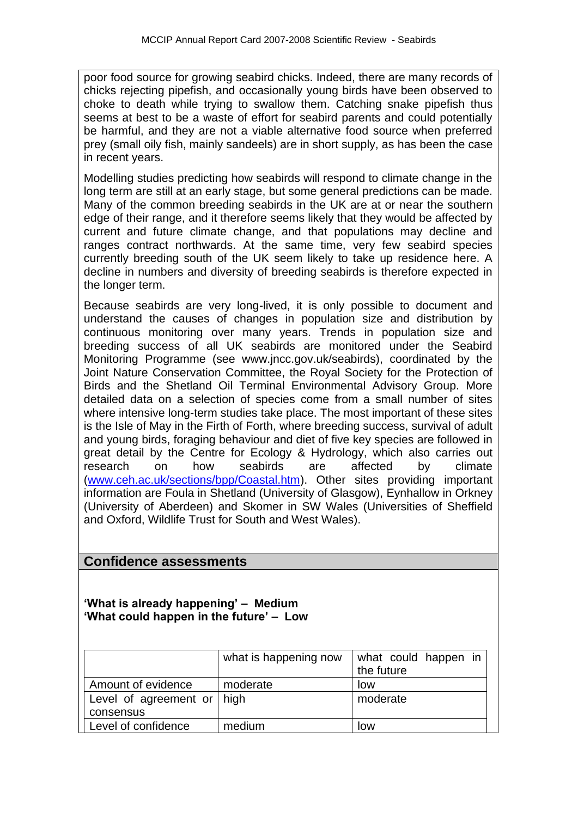poor food source for growing seabird chicks. Indeed, there are many records of chicks rejecting pipefish, and occasionally young birds have been observed to choke to death while trying to swallow them. Catching snake pipefish thus seems at best to be a waste of effort for seabird parents and could potentially be harmful, and they are not a viable alternative food source when preferred prey (small oily fish, mainly sandeels) are in short supply, as has been the case in recent years.

Modelling studies predicting how seabirds will respond to climate change in the long term are still at an early stage, but some general predictions can be made. Many of the common breeding seabirds in the UK are at or near the southern edge of their range, and it therefore seems likely that they would be affected by current and future climate change, and that populations may decline and ranges contract northwards. At the same time, very few seabird species currently breeding south of the UK seem likely to take up residence here. A decline in numbers and diversity of breeding seabirds is therefore expected in the longer term.

Because seabirds are very long-lived, it is only possible to document and understand the causes of changes in population size and distribution by continuous monitoring over many years. Trends in population size and breeding success of all UK seabirds are monitored under the Seabird Monitoring Programme (see www.jncc.gov.uk/seabirds), coordinated by the Joint Nature Conservation Committee, the Royal Society for the Protection of Birds and the Shetland Oil Terminal Environmental Advisory Group. More detailed data on a selection of species come from a small number of sites where intensive long-term studies take place. The most important of these sites is the Isle of May in the Firth of Forth, where breeding success, survival of adult and young birds, foraging behaviour and diet of five key species are followed in great detail by the Centre for Ecology & Hydrology, which also carries out research on how seabirds are affected by climate [\(www.ceh.ac.uk/sections/bpp/Coastal.htm\)](http://www.ceh.ac.uk/sections/bpp/Coastal.htm). Other sites providing important information are Foula in Shetland (University of Glasgow), Eynhallow in Orkney (University of Aberdeen) and Skomer in SW Wales (Universities of Sheffield and Oxford, Wildlife Trust for South and West Wales).

## **Confidence assessments**

**'What is already happening' – Medium 'What could happen in the future' – Low**

|                                    | what is happening now | what could happen in<br>the future |
|------------------------------------|-----------------------|------------------------------------|
| Amount of evidence                 | moderate              | low                                |
| Level of agreement or $\vert$ high |                       | moderate                           |
| consensus                          |                       |                                    |
| Level of confidence                | medium                | low                                |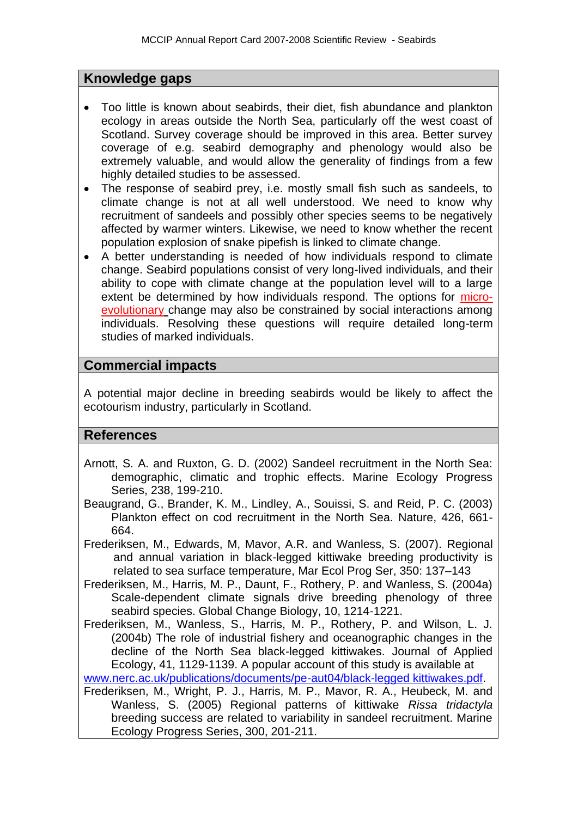## **Knowledge gaps**

- Too little is known about seabirds, their diet, fish abundance and plankton ecology in areas outside the North Sea, particularly off the west coast of Scotland. Survey coverage should be improved in this area. Better survey coverage of e.g. seabird demography and phenology would also be extremely valuable, and would allow the generality of findings from a few highly detailed studies to be assessed.
- The response of seabird prey, i.e. mostly small fish such as sandeels, to climate change is not at all well understood. We need to know why recruitment of sandeels and possibly other species seems to be negatively affected by warmer winters. Likewise, we need to know whether the recent population explosion of snake pipefish is linked to climate change.
- A better understanding is needed of how individuals respond to climate change. Seabird populations consist of very long-lived individuals, and their ability to cope with climate change at the population level will to a large extent be determined by how individuals respond. The options for microevolutionary change may also be constrained by social interactions among individuals. Resolving these questions will require detailed long-term studies of marked individuals.

#### **Commercial impacts**

A potential major decline in breeding seabirds would be likely to affect the ecotourism industry, particularly in Scotland.

## **References**

- Arnott, S. A. and Ruxton, G. D. (2002) Sandeel recruitment in the North Sea: demographic, climatic and trophic effects. Marine Ecology Progress Series, 238, 199-210.
- Beaugrand, G., Brander, K. M., Lindley, A., Souissi, S. and Reid, P. C. (2003) Plankton effect on cod recruitment in the North Sea. Nature, 426, 661- 664.
- Frederiksen, M., Edwards, M, Mavor, A.R. and Wanless, S. (2007). Regional and annual variation in black-legged kittiwake breeding productivity is related to sea surface temperature, Mar Ecol Prog Ser, 350: 137–143
- Frederiksen, M., Harris, M. P., Daunt, F., Rothery, P. and Wanless, S. (2004a) Scale-dependent climate signals drive breeding phenology of three seabird species. Global Change Biology, 10, 1214-1221.
- Frederiksen, M., Wanless, S., Harris, M. P., Rothery, P. and Wilson, L. J. (2004b) The role of industrial fishery and oceanographic changes in the decline of the North Sea black-legged kittiwakes. Journal of Applied Ecology, 41, 1129-1139. A popular account of this study is available at [www.nerc.ac.uk/publications/documents/pe-aut04/black-legged kittiwakes.pdf.](http://www.nerc.ac.uk/publications/documents/pe-aut04/kittiwakes.pdf)
- Frederiksen, M., Wright, P. J., Harris, M. P., Mavor, R. A., Heubeck, M. and Wanless, S. (2005) Regional patterns of kittiwake *Rissa tridactyla* breeding success are related to variability in sandeel recruitment. Marine Ecology Progress Series, 300, 201-211.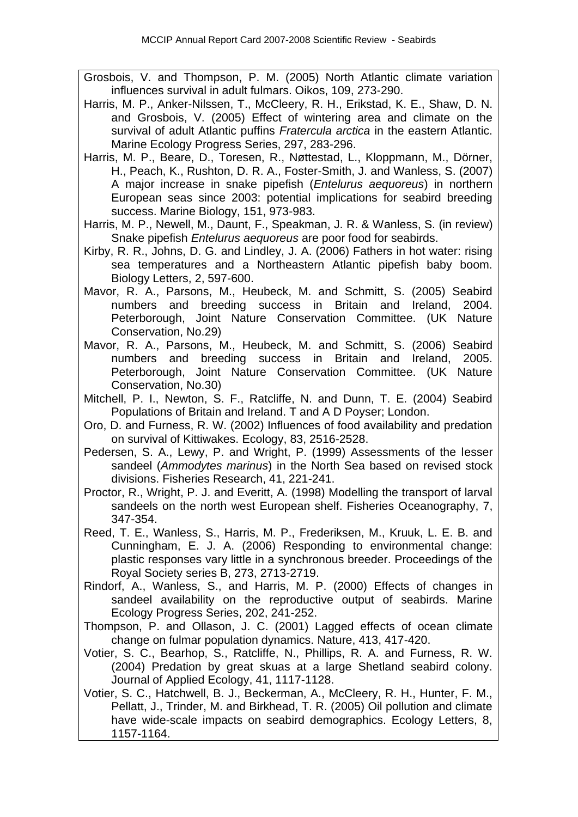- Grosbois, V. and Thompson, P. M. (2005) North Atlantic climate variation influences survival in adult fulmars. Oikos, 109, 273-290.
- Harris, M. P., Anker-Nilssen, T., McCleery, R. H., Erikstad, K. E., Shaw, D. N. and Grosbois, V. (2005) Effect of wintering area and climate on the survival of adult Atlantic puffins *Fratercula arctica* in the eastern Atlantic. Marine Ecology Progress Series, 297, 283-296.
- Harris, M. P., Beare, D., Toresen, R., Nøttestad, L., Kloppmann, M., Dörner, H., Peach, K., Rushton, D. R. A., Foster-Smith, J. and Wanless, S. (2007) A major increase in snake pipefish (*Entelurus aequoreus*) in northern European seas since 2003: potential implications for seabird breeding success. Marine Biology, 151, 973-983.
- Harris, M. P., Newell, M., Daunt, F., Speakman, J. R. & Wanless, S. (in review) Snake pipefish *Entelurus aequoreus* are poor food for seabirds.
- Kirby, R. R., Johns, D. G. and Lindley, J. A. (2006) Fathers in hot water: rising sea temperatures and a Northeastern Atlantic pipefish baby boom. Biology Letters, 2, 597-600.
- Mavor, R. A., Parsons, M., Heubeck, M. and Schmitt, S. (2005) Seabird numbers and breeding success in Britain and Ireland, 2004. Peterborough, Joint Nature Conservation Committee. (UK Nature Conservation, No.29)
- Mavor, R. A., Parsons, M., Heubeck, M. and Schmitt, S. (2006) Seabird numbers and breeding success in Britain and Ireland, 2005. Peterborough, Joint Nature Conservation Committee. (UK Nature Conservation, No.30)
- Mitchell, P. I., Newton, S. F., Ratcliffe, N. and Dunn, T. E. (2004) Seabird Populations of Britain and Ireland. T and A D Poyser; London.
- Oro, D. and Furness, R. W. (2002) Influences of food availability and predation on survival of Kittiwakes. Ecology, 83, 2516-2528.
- Pedersen, S. A., Lewy, P. and Wright, P. (1999) Assessments of the lesser sandeel (*Ammodytes marinus*) in the North Sea based on revised stock divisions. Fisheries Research, 41, 221-241.
- Proctor, R., Wright, P. J. and Everitt, A. (1998) Modelling the transport of larval sandeels on the north west European shelf. Fisheries Oceanography, 7, 347-354.
- Reed, T. E., Wanless, S., Harris, M. P., Frederiksen, M., Kruuk, L. E. B. and Cunningham, E. J. A. (2006) Responding to environmental change: plastic responses vary little in a synchronous breeder. Proceedings of the Royal Society series B, 273, 2713-2719.
- Rindorf, A., Wanless, S., and Harris, M. P. (2000) Effects of changes in sandeel availability on the reproductive output of seabirds. Marine Ecology Progress Series, 202, 241-252.
- Thompson, P. and Ollason, J. C. (2001) Lagged effects of ocean climate change on fulmar population dynamics. Nature, 413, 417-420.
- Votier, S. C., Bearhop, S., Ratcliffe, N., Phillips, R. A. and Furness, R. W. (2004) Predation by great skuas at a large Shetland seabird colony. Journal of Applied Ecology, 41, 1117-1128.
- Votier, S. C., Hatchwell, B. J., Beckerman, A., McCleery, R. H., Hunter, F. M., Pellatt, J., Trinder, M. and Birkhead, T. R. (2005) Oil pollution and climate have wide-scale impacts on seabird demographics. Ecology Letters, 8, 1157-1164.